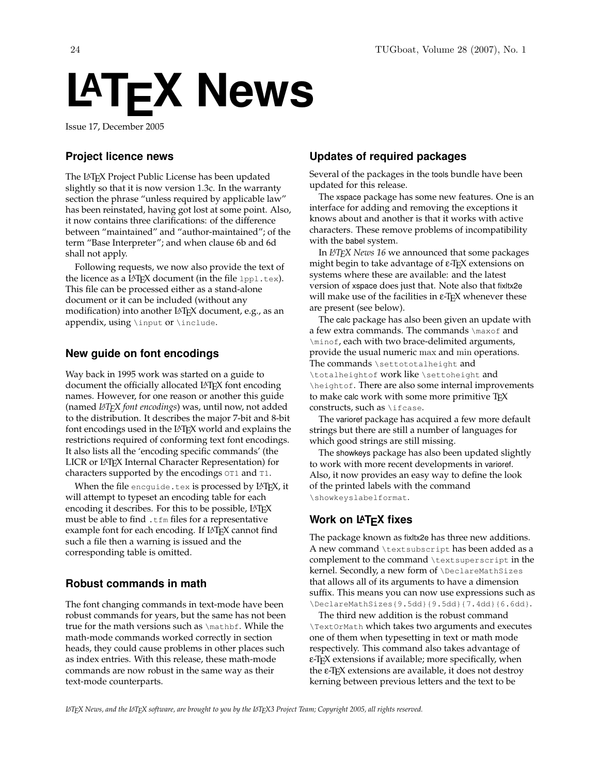# **LATEX News**

Issue 17, December 2005

### **Project licence news**

The LATEX Project Public License has been updated slightly so that it is now version 1.3c. In the warranty section the phrase "unless required by applicable law" has been reinstated, having got lost at some point. Also, it now contains three clarifications: of the difference between "maintained" and "author-maintained"; of the term "Base Interpreter"; and when clause 6b and 6d shall not apply.

Following requests, we now also provide the text of the licence as a LAT<sub>E</sub>X document (in the file  $1pp1.$ tex). This file can be processed either as a stand-alone document or it can be included (without any modification) into another LATEX document, e.g., as an appendix, using \input or \include.

## **New guide on font encodings**

Way back in 1995 work was started on a guide to document the officially allocated LATEX font encoding names. However, for one reason or another this guide (named *LATEX font encodings*) was, until now, not added to the distribution. It describes the major 7-bit and 8-bit font encodings used in the LAT<sub>E</sub>X world and explains the restrictions required of conforming text font encodings. It also lists all the 'encoding specific commands' (the LICR or L<sup>AT</sup>EX Internal Character Representation) for characters supported by the encodings OT1 and T1.

When the file encguide.tex is processed by LATEX, it will attempt to typeset an encoding table for each encoding it describes. For this to be possible, LATEX must be able to find .tfm files for a representative example font for each encoding. If L<sup>A</sup>TEX cannot find such a file then a warning is issued and the corresponding table is omitted.

#### **Robust commands in math**

The font changing commands in text-mode have been robust commands for years, but the same has not been true for the math versions such as \mathbf. While the math-mode commands worked correctly in section heads, they could cause problems in other places such as index entries. With this release, these math-mode commands are now robust in the same way as their text-mode counterparts.

## **Updates of required packages**

Several of the packages in the tools bundle have been updated for this release.

The xspace package has some new features. One is an interface for adding and removing the exceptions it knows about and another is that it works with active characters. These remove problems of incompatibility with the babel system.

In *LAT<sub>E</sub>X* News 16 we announced that some packages might begin to take advantage of ε-ΤΕΧ extensions on systems where these are available: and the latest version of xspace does just that. Note also that fixltx2e will make use of the facilities in ε-Τ<sub>Ε</sub>Χ whenever these are present (see below).

The calc package has also been given an update with a few extra commands. The commands \maxof and \minof, each with two brace-delimited arguments, provide the usual numeric max and min operations. The commands \settototalheight and \totalheightof work like \settoheight and \heightof. There are also some internal improvements to make calc work with some more primitive TEX constructs, such as \ifcase.

The varioref package has acquired a few more default strings but there are still a number of languages for which good strings are still missing.

The showkeys package has also been updated slightly to work with more recent developments in varioref. Also, it now provides an easy way to define the look of the printed labels with the command \showkeyslabelformat.

# **Work on LATEX fixes**

The package known as fixltx2e has three new additions. A new command \textsubscript has been added as a complement to the command \textsuperscript in the kernel. Secondly, a new form of \DeclareMathSizes that allows all of its arguments to have a dimension suffix. This means you can now use expressions such as \DeclareMathSizes{9.5dd}{9.5dd}{7.4dd}{6.6dd}.

The third new addition is the robust command \TextOrMath which takes two arguments and executes one of them when typesetting in text or math mode respectively. This command also takes advantage of <sup>ε</sup>-TEX extensions if available; more specifically, when the <sup>ε</sup>-TEX extensions are available, it does not destroy kerning between previous letters and the text to be

*LATEX News, and the LATEX software, are brought to you by the LATEX3 Project Team; Copyright 2005, all rights reserved.*